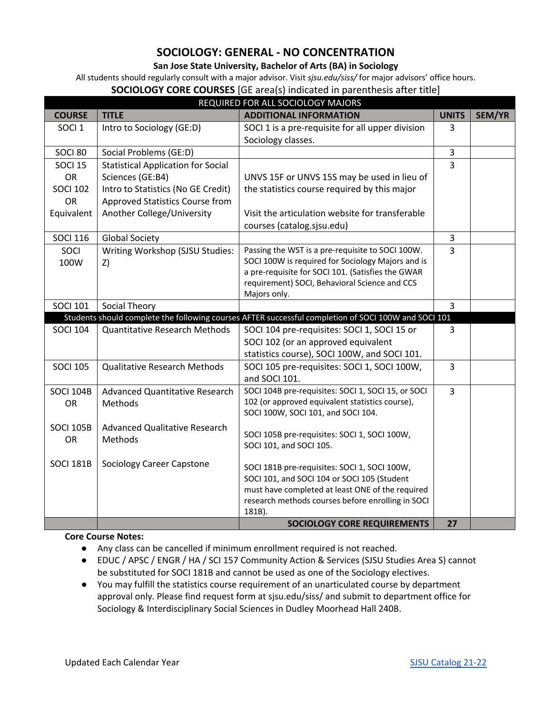# **SOCIOLOGY: GENERAL - NO CONCENTRATION**

## **San Jose State University, Bachelor of Arts (BA) in Sociology**

All students should regularly consult with a major advisor. Visit *sjsu.edu/siss/* for major advisors' office hours.

#### **SOCIOLOGY CORE COURSES** [GE area(s) indicated in parenthesis after title]

| REQUIRED FOR ALL SOCIOLOGY MAJORS |                                           |                                                                                                      |                |        |  |  |
|-----------------------------------|-------------------------------------------|------------------------------------------------------------------------------------------------------|----------------|--------|--|--|
| <b>COURSE</b>                     | <b>TITLE</b>                              | <b>ADDITIONAL INFORMATION</b>                                                                        | <b>UNITS</b>   | SEM/YR |  |  |
| SOCI <sub>1</sub>                 | Intro to Sociology (GE:D)                 | SOCI 1 is a pre-requisite for all upper division                                                     | 3              |        |  |  |
|                                   |                                           | Sociology classes.                                                                                   |                |        |  |  |
| SOCI 80                           | Social Problems (GE:D)                    |                                                                                                      | $\overline{3}$ |        |  |  |
| <b>SOCI 15</b>                    | <b>Statistical Application for Social</b> |                                                                                                      | $\overline{3}$ |        |  |  |
| OR                                | Sciences (GE:B4)                          | UNVS 15F or UNVS 15S may be used in lieu of                                                          |                |        |  |  |
| <b>SOCI 102</b>                   | Intro to Statistics (No GE Credit)        | the statistics course required by this major                                                         |                |        |  |  |
| <b>OR</b>                         | Approved Statistics Course from           |                                                                                                      |                |        |  |  |
| Equivalent                        | Another College/University                | Visit the articulation website for transferable                                                      |                |        |  |  |
|                                   |                                           | courses (catalog.sjsu.edu)                                                                           |                |        |  |  |
| <b>SOCI 116</b>                   | <b>Global Society</b>                     |                                                                                                      | $\mathsf{3}$   |        |  |  |
| SOCI                              | Writing Workshop (SJSU Studies:           | Passing the WST is a pre-requisite to SOCI 100W.                                                     | $\overline{3}$ |        |  |  |
| 100W                              | Z)                                        | SOCI 100W is required for Sociology Majors and is                                                    |                |        |  |  |
|                                   |                                           | a pre-requisite for SOCI 101. (Satisfies the GWAR<br>requirement) SOCI, Behavioral Science and CCS   |                |        |  |  |
|                                   |                                           | Majors only.                                                                                         |                |        |  |  |
| <b>SOCI 101</b>                   | Social Theory                             |                                                                                                      | 3              |        |  |  |
|                                   |                                           | Students should complete the following courses AFTER successful completion of SOCI 100W and SOCI 101 |                |        |  |  |
| <b>SOCI 104</b>                   | <b>Quantitative Research Methods</b>      | SOCI 104 pre-requisites: SOCI 1, SOCI 15 or                                                          | 3              |        |  |  |
|                                   |                                           | SOCI 102 (or an approved equivalent                                                                  |                |        |  |  |
|                                   |                                           | statistics course), SOCI 100W, and SOCI 101.                                                         |                |        |  |  |
| <b>SOCI 105</b>                   | <b>Qualitative Research Methods</b>       | SOCI 105 pre-requisites: SOCI 1, SOCI 100W,                                                          | $\overline{3}$ |        |  |  |
|                                   |                                           | and SOCI 101.                                                                                        |                |        |  |  |
| <b>SOCI 104B</b>                  | <b>Advanced Quantitative Research</b>     | SOCI 104B pre-requisites: SOCI 1, SOCI 15, or SOCI                                                   | $\overline{3}$ |        |  |  |
| <b>OR</b>                         | Methods                                   | 102 (or approved equivalent statistics course),                                                      |                |        |  |  |
|                                   |                                           | SOCI 100W, SOCI 101, and SOCI 104.                                                                   |                |        |  |  |
| <b>SOCI 105B</b>                  | <b>Advanced Qualitative Research</b>      |                                                                                                      |                |        |  |  |
| OR                                | Methods                                   | SOCI 105B pre-requisites: SOCI 1, SOCI 100W,<br>SOCI 101, and SOCI 105.                              |                |        |  |  |
|                                   |                                           |                                                                                                      |                |        |  |  |
| <b>SOCI 181B</b>                  | <b>Sociology Career Capstone</b>          | SOCI 181B pre-requisites: SOCI 1, SOCI 100W,                                                         |                |        |  |  |
|                                   |                                           | SOCI 101, and SOCI 104 or SOCI 105 (Student                                                          |                |        |  |  |
|                                   |                                           | must have completed at least ONE of the required                                                     |                |        |  |  |
|                                   |                                           | research methods courses before enrolling in SOCI                                                    |                |        |  |  |
|                                   |                                           | 181B).                                                                                               |                |        |  |  |
|                                   |                                           | <b>SOCIOLOGY CORE REQUIREMENTS</b>                                                                   | 27             |        |  |  |

## **Core Course Notes:**

- Any class can be cancelled if minimum enrollment required is not reached.
- EDUC / APSC / ENGR / HA / SCI 157 Community Action & Services (SJSU Studies Area S) cannot be substituted for SOCI 181B and cannot be used as one of the Sociology electives.
- You may fulfill the statistics course requirement of an unarticulated course by department approval only. Please find request form at sjsu.edu/siss/ and submit to department office for Sociology & Interdisciplinary Social Sciences in Dudley Moorhead Hall 240B.